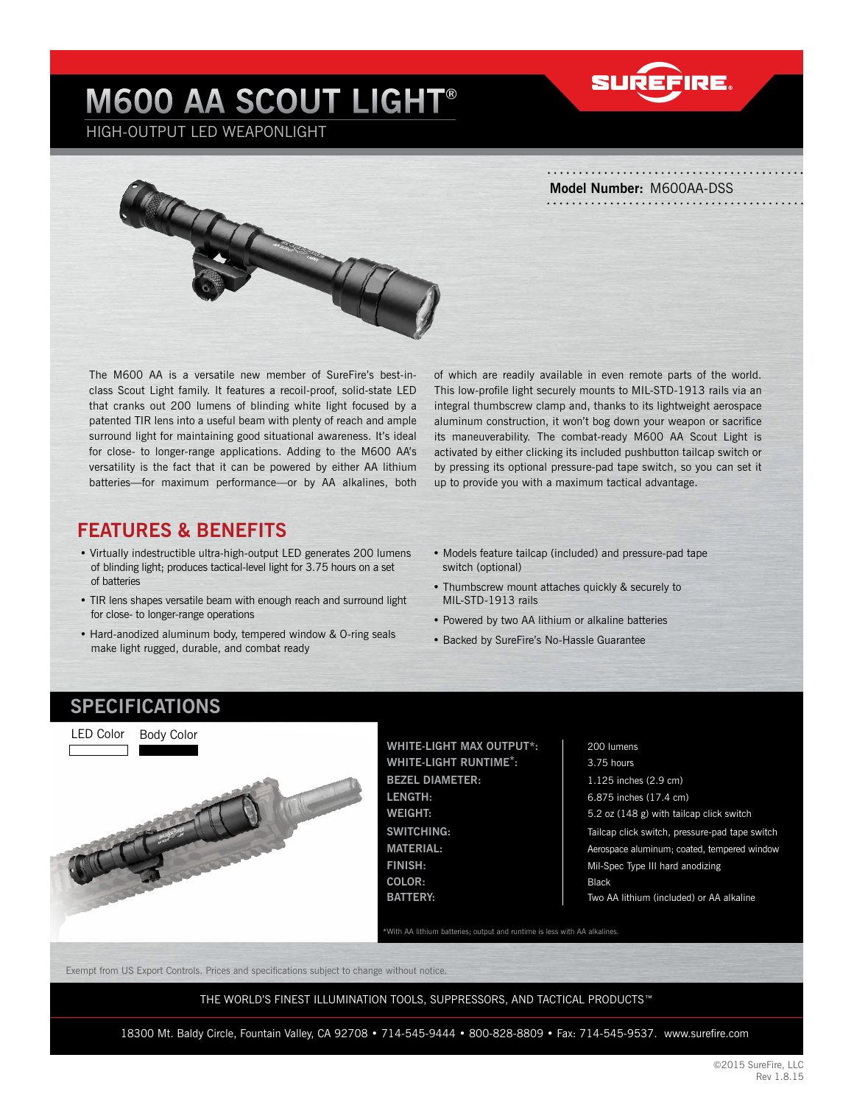## **M600 AA SCOUT LIGHT®**



HIGH-OUTPUT LED WEAPONLIGHT



**Model Number:** M600AA-DSS

The M600 AA is a versatile new member of SureFire's best-inclass Scout Light family. It features a recoil-proof, solid-state LED that cranks out 200 lumens of blinding white light focused by a patented TIR lens into a useful beam with plenty of reach and ample surround light for maintaining good situational awareness. It's ideal for close- to longer-range applications. Adding to the M600 AA's versatility is the fact that it can be powered by either AA lithium batteries—for maximum performance—or by AA alkalines, both of which are readily available in even remote parts of the world. This low-profile light securely mounts to MIL-STD-1913 rails via an integral thumbscrew clamp and, thanks to its lightweight aerospace aluminum construction, it won't bog down your weapon or sacrifice its maneuverability. The combat-ready M600 AA Scout Light is activated by either clicking its included pushbutton tailcap switch or by pressing its optional pressure-pad tape switch, so you can set it up to provide you with a maximum tactical advantage.

### **FEATURES & BENEFITS**

- Virtually indestructible ultra-high-output LED generates 200 lumens of blinding light; produces tactical-level light for 3.75 hours on a set of batteries
- TIR lens shapes versatile beam with enough reach and surround light for close- to longer-range operations
- Hard-anodized aluminum body, tempered window & O-ring seals make light rugged, durable, and combat ready
- Models feature tailcap (included) and pressure-pad tape switch (optional)
- Thumbscrew mount attaches quickly & securely to MIL-STD-1913 rails
- Powered by two AA lithium or alkaline batteries
- Backed by SureFire's No-Hassle Guarantee

#### **SPECIFICATIONS**

LED Color

Body Color



**LENGTH:** 6.875 inches (17.4 cm) WHITE-LIGHT MAX OUTPUT\*: 200 lumens **WHITE-LIGHT RUNTIME\*:** 3.75 hours **BEZEL DIAMETER:** 1.125 inches (2.9 cm) **FINISH:** Mil-Spec Type III hard anodizing **COLOR:** Black **BATTERY: Two AA lithium (included) or AA alkaline** 

**WEIGHT: WEIGHT:** 5.2 oz (148 g) with tailcap click switch **MATERIAL: Aerospace aluminum; coated, tempered window SWITCHING:** Tailcap click switch, pressure-pad tape switch

\*With AA lithium batteries; output and runtime is less with AA alkalines.

Exempt from US Export Controls. Prices and specifications subject to change without notice.

THE WORLD'S FINEST ILLUMINATION TOOLS, SUPPRESSORS, AND TACTICAL PRODUCTS™

18300 Mt. Baldy Circle, Fountain Valley, CA 92708 • 714-545-9444 • 800-828-8809 • Fax: 714-545-9537. www.surefire.com